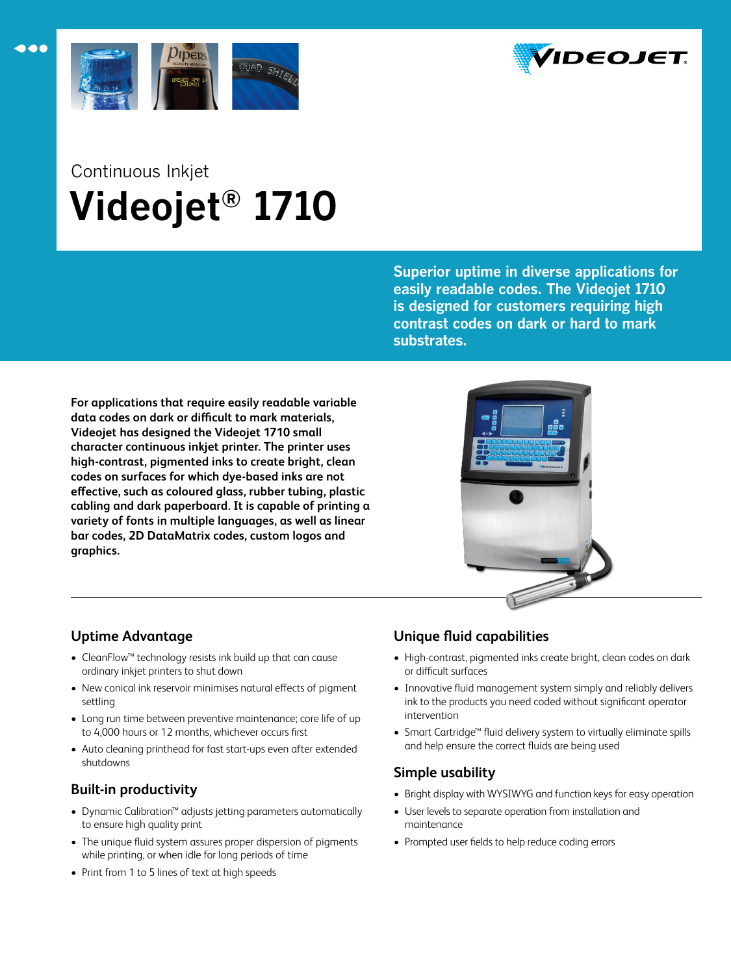



# Continuous Inkjet  **Videojet® 1710**

**Superior uptime in diverse applications for easily readable codes. The Videojet 1710 is designed for customers requiring high contrast codes on dark or hard to mark substrates.**

**For applications that require easily readable variable data codes on dark or difficult to mark materials, Videojet has designed the Videojet 1710 small character continuous inkjet printer. The printer uses high-contrast, pigmented inks to create bright, clean codes on surfaces for which dye-based inks are not effective, such as coloured glass, rubber tubing, plastic cabling and dark paperboard. It is capable of printing a variety of fonts in multiple languages, as well as linear bar codes, 2D DataMatrix codes, custom logos and graphics.**



# **Uptime Advantage**

- • CleanFlow™ technology resists ink build up that can cause ordinary inkjet printers to shut down
- New conical ink reservoir minimises natural effects of pigment settling
- Long run time between preventive maintenance; core life of up to 4,000 hours or 12 months, whichever occurs first
- Auto cleaning printhead for fast start-ups even after extended shutdowns

# **Built-in productivity**

- • Dynamic Calibration™ adjusts jetting parameters automatically to ensure high quality print
- The unique fluid system assures proper dispersion of pigments while printing, or when idle for long periods of time
- Print from 1 to 5 lines of text at high speeds

# **Unique fluid capabilities**

- High-contrast, pigmented inks create bright, clean codes on dark or difficult surfaces
- Innovative fluid management system simply and reliably delivers ink to the products you need coded without significant operator intervention
- • Smart Cartridge™ fluid delivery system to virtually eliminate spills and help ensure the correct fluids are being used

# **Simple usability**

- Bright display with WYSIWYG and function keys for easy operation
- • User levels to separate operation from installation and maintenance
- Prompted user fields to help reduce coding errors